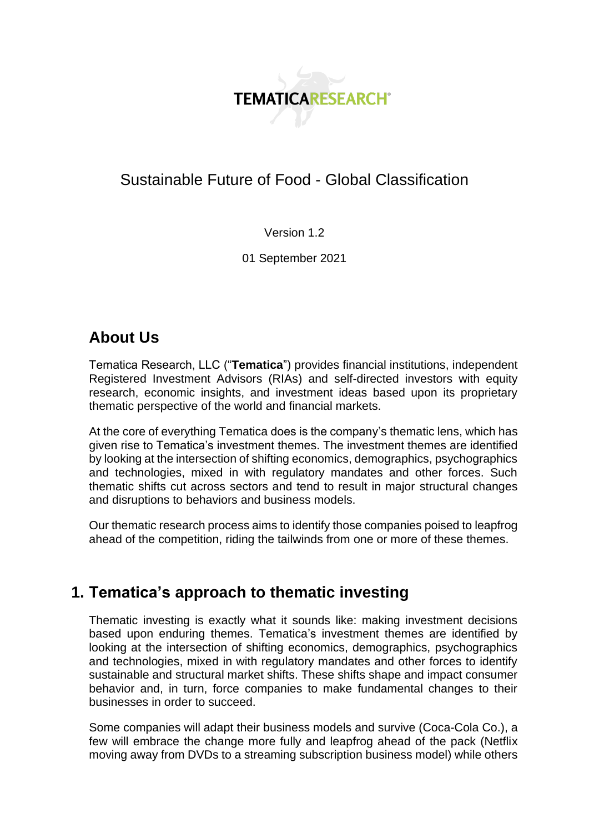

# Sustainable Future of Food - Global Classification

Version 1.2

01 September 2021

# **About Us**

Tematica Research, LLC ("**Tematica**") provides financial institutions, independent Registered Investment Advisors (RIAs) and self-directed investors with equity research, economic insights, and investment ideas based upon its proprietary thematic perspective of the world and financial markets.

At the core of everything Tematica does is the company's thematic lens, which has given rise to Tematica's investment themes. The investment themes are identified by looking at the intersection of shifting economics, demographics, psychographics and technologies, mixed in with regulatory mandates and other forces. Such thematic shifts cut across sectors and tend to result in major structural changes and disruptions to behaviors and business models.

Our thematic research process aims to identify those companies poised to leapfrog ahead of the competition, riding the tailwinds from one or more of these themes.

# **1. Tematica's approach to thematic investing**

Thematic investing is exactly what it sounds like: making investment decisions based upon enduring themes. Tematica's investment themes are identified by looking at the intersection of shifting economics, demographics, psychographics and technologies, mixed in with regulatory mandates and other forces to identify sustainable and structural market shifts. These shifts shape and impact consumer behavior and, in turn, force companies to make fundamental changes to their businesses in order to succeed.

Some companies will adapt their business models and survive (Coca-Cola Co.), a few will embrace the change more fully and leapfrog ahead of the pack (Netflix moving away from DVDs to a streaming subscription business model) while others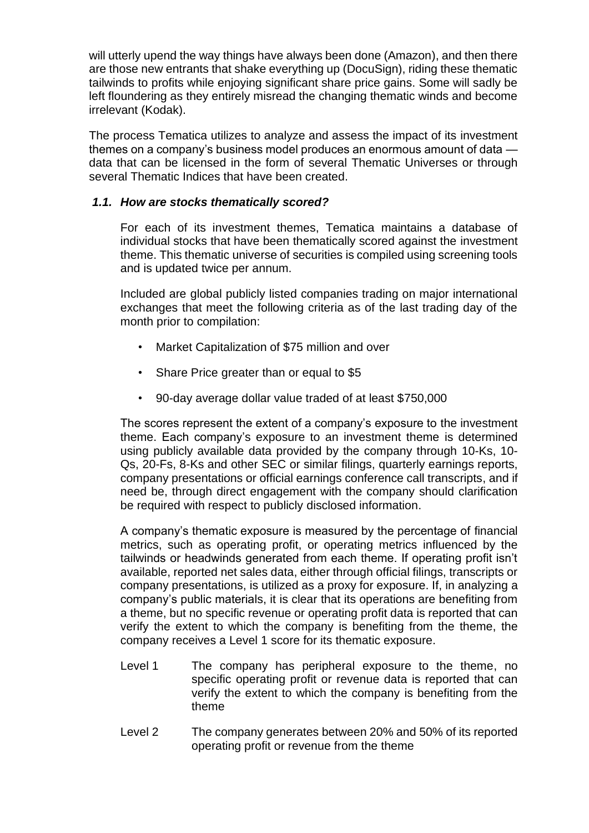will utterly upend the way things have always been done (Amazon), and then there are those new entrants that shake everything up (DocuSign), riding these thematic tailwinds to profits while enjoying significant share price gains. Some will sadly be left floundering as they entirely misread the changing thematic winds and become irrelevant (Kodak).

The process Tematica utilizes to analyze and assess the impact of its investment themes on a company's business model produces an enormous amount of data data that can be licensed in the form of several Thematic Universes or through several Thematic Indices that have been created.

### *1.1. How are stocks thematically scored?*

For each of its investment themes, Tematica maintains a database of individual stocks that have been thematically scored against the investment theme. This thematic universe of securities is compiled using screening tools and is updated twice per annum.

Included are global publicly listed companies trading on major international exchanges that meet the following criteria as of the last trading day of the month prior to compilation:

- Market Capitalization of \$75 million and over
- Share Price greater than or equal to \$5
- 90-day average dollar value traded of at least \$750,000

The scores represent the extent of a company's exposure to the investment theme. Each company's exposure to an investment theme is determined using publicly available data provided by the company through 10-Ks, 10- Qs, 20-Fs, 8-Ks and other SEC or similar filings, quarterly earnings reports, company presentations or official earnings conference call transcripts, and if need be, through direct engagement with the company should clarification be required with respect to publicly disclosed information.

A company's thematic exposure is measured by the percentage of financial metrics, such as operating profit, or operating metrics influenced by the tailwinds or headwinds generated from each theme. If operating profit isn't available, reported net sales data, either through official filings, transcripts or company presentations, is utilized as a proxy for exposure. If, in analyzing a company's public materials, it is clear that its operations are benefiting from a theme, but no specific revenue or operating profit data is reported that can verify the extent to which the company is benefiting from the theme, the company receives a Level 1 score for its thematic exposure.

- Level 1 The company has peripheral exposure to the theme, no specific operating profit or revenue data is reported that can verify the extent to which the company is benefiting from the theme
- Level 2 The company generates between 20% and 50% of its reported operating profit or revenue from the theme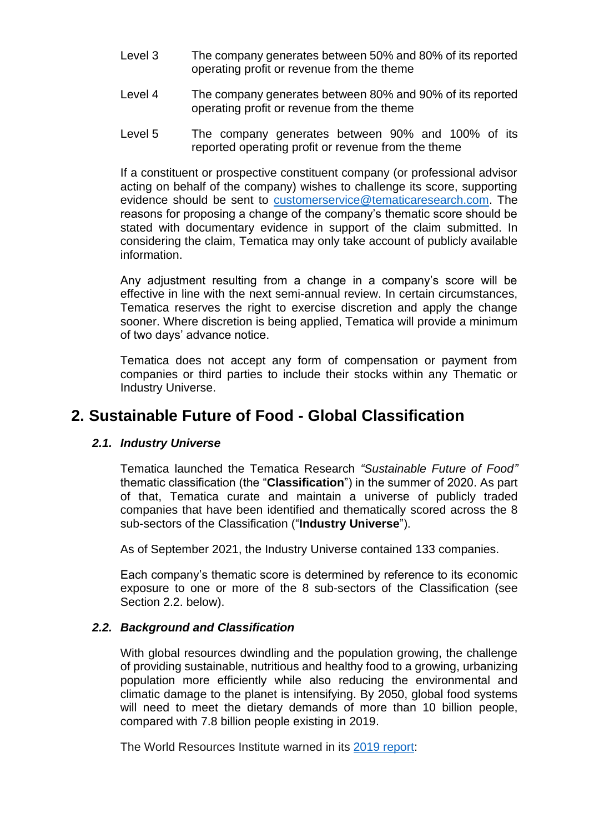- Level 3 The company generates between 50% and 80% of its reported operating profit or revenue from the theme
- Level 4 The company generates between 80% and 90% of its reported operating profit or revenue from the theme
- Level 5 The company generates between 90% and 100% of its reported operating profit or revenue from the theme

If a constituent or prospective constituent company (or professional advisor acting on behalf of the company) wishes to challenge its score, supporting evidence should be sent to [customerservice@tematicaresearch.com.](mailto:customerservice@tematicaresearch.com) The reasons for proposing a change of the company's thematic score should be stated with documentary evidence in support of the claim submitted. In considering the claim, Tematica may only take account of publicly available information.

Any adjustment resulting from a change in a company's score will be effective in line with the next semi-annual review. In certain circumstances, Tematica reserves the right to exercise discretion and apply the change sooner. Where discretion is being applied, Tematica will provide a minimum of two days' advance notice.

Tematica does not accept any form of compensation or payment from companies or third parties to include their stocks within any Thematic or Industry Universe.

# **2. Sustainable Future of Food - Global Classification**

#### *2.1. Industry Universe*

Tematica launched the Tematica Research *"Sustainable Future of Food"* thematic classification (the "**Classification**") in the summer of 2020. As part of that, Tematica curate and maintain a universe of publicly traded companies that have been identified and thematically scored across the 8 sub-sectors of the Classification ("**Industry Universe**").

As of September 2021, the Industry Universe contained 133 companies.

Each company's thematic score is determined by reference to its economic exposure to one or more of the 8 sub-sectors of the Classification (see Section 2.2. below).

#### *2.2. Background and Classification*

With global resources dwindling and the population growing, the challenge of providing sustainable, nutritious and healthy food to a growing, urbanizing population more efficiently while also reducing the environmental and climatic damage to the planet is intensifying. By 2050, global food systems will need to meet the dietary demands of more than 10 billion people, compared with 7.8 billion people existing in 2019.

The World Resources Institute warned in its [2019 report:](https://wrr-food.wri.org/sites/default/files/2019-07/WRR_Food_Full_Report_0.pdf)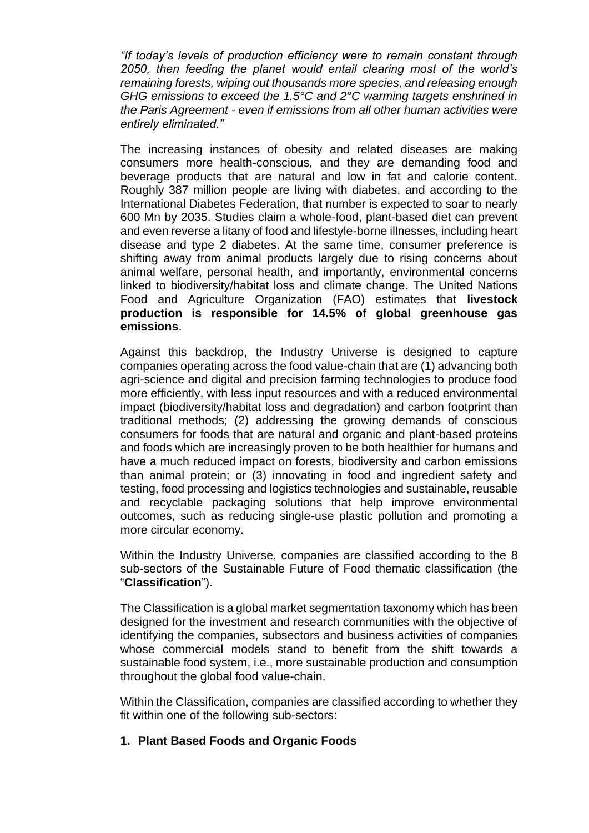*"If today's levels of production efficiency were to remain constant through 2050, then feeding the planet would entail clearing most of the world's remaining forests, wiping out thousands more species, and releasing enough GHG emissions to exceed the 1.5°C and 2°C warming targets enshrined in the Paris Agreement - even if emissions from all other human activities were entirely eliminated."*

The increasing instances of obesity and related diseases are making consumers more health-conscious, and they are demanding food and beverage products that are natural and low in fat and calorie content. Roughly 387 million people are living with diabetes, and according to the International Diabetes Federation, that number is expected to soar to nearly 600 Mn by 2035. Studies claim a whole-food, plant-based diet can prevent and even reverse a litany of food and lifestyle-borne illnesses, including heart disease and type 2 diabetes. At the same time, consumer preference is shifting away from animal products largely due to rising concerns about animal welfare, personal health, and importantly, environmental concerns linked to biodiversity/habitat loss and climate change. The United Nations Food and Agriculture Organization (FAO) estimates that **livestock production is responsible for 14.5% of global greenhouse gas emissions**.

Against this backdrop, the Industry Universe is designed to capture companies operating across the food value-chain that are (1) advancing both agri-science and digital and precision farming technologies to produce food more efficiently, with less input resources and with a reduced environmental impact (biodiversity/habitat loss and degradation) and carbon footprint than traditional methods; (2) addressing the growing demands of conscious consumers for foods that are natural and organic and plant-based proteins and foods which are increasingly proven to be both healthier for humans and have a much reduced impact on forests, biodiversity and carbon emissions than animal protein; or (3) innovating in food and ingredient safety and testing, food processing and logistics technologies and sustainable, reusable and recyclable packaging solutions that help improve environmental outcomes, such as reducing single-use plastic pollution and promoting a more circular economy.

Within the Industry Universe, companies are classified according to the 8 sub-sectors of the Sustainable Future of Food thematic classification (the "**Classification**").

The Classification is a global market segmentation taxonomy which has been designed for the investment and research communities with the objective of identifying the companies, subsectors and business activities of companies whose commercial models stand to benefit from the shift towards a sustainable food system, i.e., more sustainable production and consumption throughout the global food value-chain.

Within the Classification, companies are classified according to whether they fit within one of the following sub-sectors:

#### **1. Plant Based Foods and Organic Foods**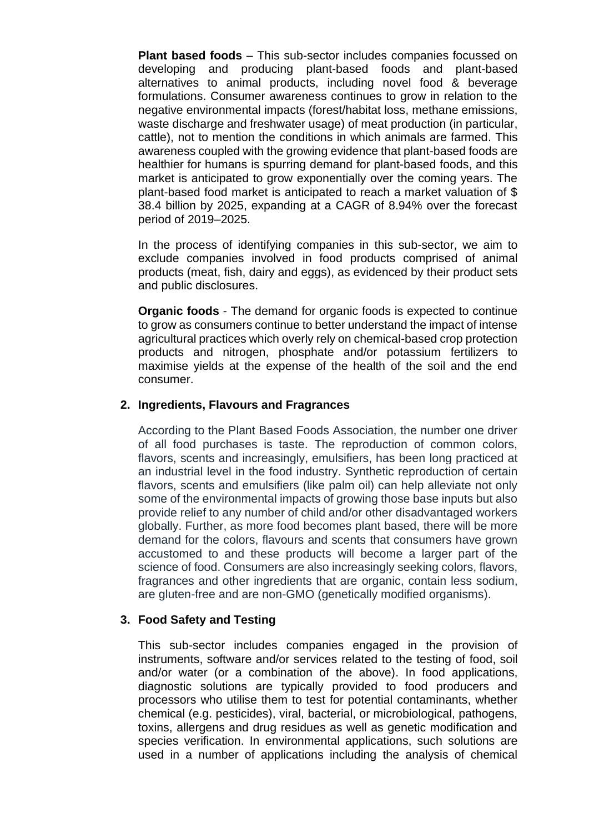**Plant based foods** – This sub-sector includes companies focussed on developing and producing plant-based foods and plant-based alternatives to animal products, including novel food & beverage formulations. Consumer awareness continues to grow in relation to the negative environmental impacts (forest/habitat loss, methane emissions, waste discharge and freshwater usage) of meat production (in particular, cattle), not to mention the conditions in which animals are farmed. This awareness coupled with the growing evidence that plant-based foods are healthier for humans is spurring demand for plant-based foods, and this market is anticipated to grow exponentially over the coming years. The plant-based food market is anticipated to reach a market valuation of \$ 38.4 billion by 2025, expanding at a CAGR of 8.94% over the forecast period of 2019–2025.

In the process of identifying companies in this sub-sector, we aim to exclude companies involved in food products comprised of animal products (meat, fish, dairy and eggs), as evidenced by their product sets and public disclosures.

**Organic foods** - The demand for organic foods is expected to continue to grow as consumers continue to better understand the impact of intense agricultural practices which overly rely on chemical-based crop protection products and nitrogen, phosphate and/or potassium fertilizers to maximise yields at the expense of the health of the soil and the end consumer.

#### **2. Ingredients, Flavours and Fragrances**

According to the Plant Based Foods Association, the number one driver of all food purchases is taste. The reproduction of common colors, flavors, scents and increasingly, emulsifiers, has been long practiced at an industrial level in the food industry. Synthetic reproduction of certain flavors, scents and emulsifiers (like palm oil) can help alleviate not only some of the environmental impacts of growing those base inputs but also provide relief to any number of child and/or other disadvantaged workers globally. Further, as more food becomes plant based, there will be more demand for the colors, flavours and scents that consumers have grown accustomed to and these products will become a larger part of the science of food. Consumers are also increasingly seeking colors, flavors, fragrances and other ingredients that are organic, contain less sodium, are gluten-free and are non-GMO (genetically modified organisms).

# **3. Food Safety and Testing**

This sub-sector includes companies engaged in the provision of instruments, software and/or services related to the testing of food, soil and/or water (or a combination of the above). In food applications, diagnostic solutions are typically provided to food producers and processors who utilise them to test for potential contaminants, whether chemical (e.g. pesticides), viral, bacterial, or microbiological, pathogens, toxins, allergens and drug residues as well as genetic modification and species verification. In environmental applications, such solutions are used in a number of applications including the analysis of chemical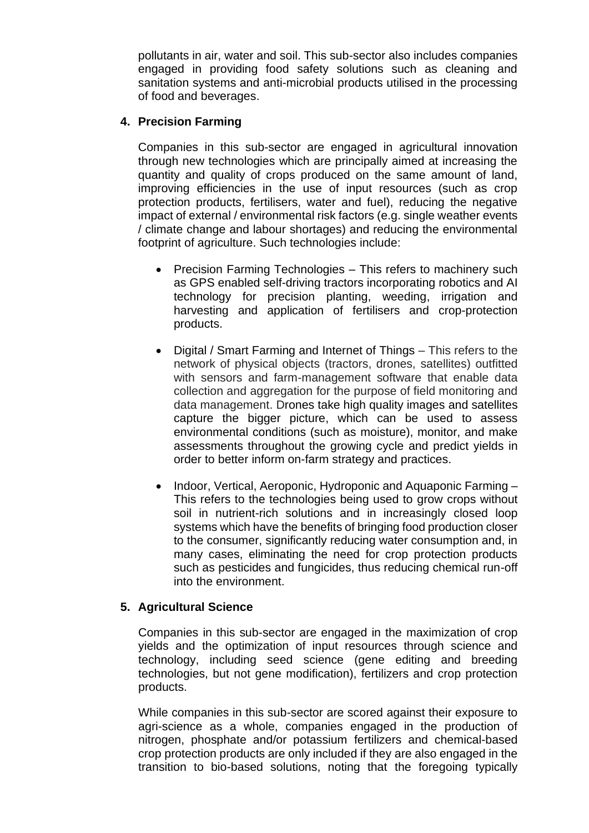pollutants in air, water and soil. This sub-sector also includes companies engaged in providing food safety solutions such as cleaning and sanitation systems and anti-microbial products utilised in the processing of food and beverages.

### **4. Precision Farming**

Companies in this sub-sector are engaged in agricultural innovation through new technologies which are principally aimed at increasing the quantity and quality of crops produced on the same amount of land, improving efficiencies in the use of input resources (such as crop protection products, fertilisers, water and fuel), reducing the negative impact of external / environmental risk factors (e.g. single weather events / climate change and labour shortages) and reducing the environmental footprint of agriculture. Such technologies include:

- Precision Farming Technologies This refers to machinery such as GPS enabled self-driving tractors incorporating robotics and AI technology for precision planting, weeding, irrigation and harvesting and application of fertilisers and crop-protection products.
- Digital / Smart Farming and Internet of Things This refers to the network of physical objects (tractors, drones, satellites) outfitted with sensors and farm-management software that enable data collection and aggregation for the purpose of field monitoring and data management. Drones take high quality images and satellites capture the bigger picture, which can be used to assess environmental conditions (such as moisture), monitor, and make assessments throughout the growing cycle and predict yields in order to better inform on-farm strategy and practices.
- Indoor, Vertical, Aeroponic, Hydroponic and Aquaponic Farming This refers to the technologies being used to grow crops without soil in nutrient-rich solutions and in increasingly closed loop systems which have the benefits of bringing food production closer to the consumer, significantly reducing water consumption and, in many cases, eliminating the need for crop protection products such as pesticides and fungicides, thus reducing chemical run-off into the environment.

# **5. Agricultural Science**

Companies in this sub-sector are engaged in the maximization of crop yields and the optimization of input resources through science and technology, including seed science (gene editing and breeding technologies, but not gene modification), fertilizers and crop protection products.

While companies in this sub-sector are scored against their exposure to agri-science as a whole, companies engaged in the production of nitrogen, phosphate and/or potassium fertilizers and chemical-based crop protection products are only included if they are also engaged in the transition to bio-based solutions, noting that the foregoing typically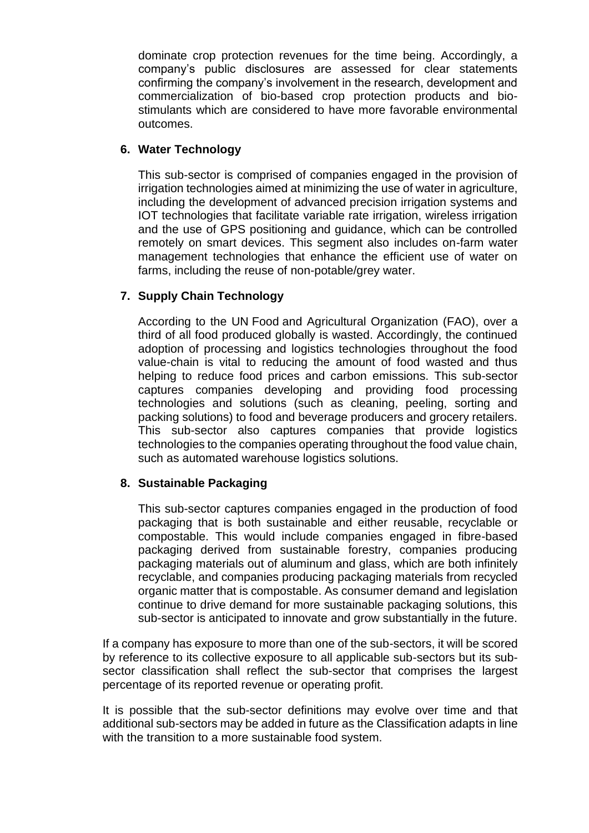dominate crop protection revenues for the time being. Accordingly, a company's public disclosures are assessed for clear statements confirming the company's involvement in the research, development and commercialization of bio-based crop protection products and biostimulants which are considered to have more favorable environmental outcomes.

## **6. Water Technology**

This sub-sector is comprised of companies engaged in the provision of irrigation technologies aimed at minimizing the use of water in agriculture, including the development of advanced precision irrigation systems and IOT technologies that facilitate variable rate irrigation, wireless irrigation and the use of GPS positioning and guidance, which can be controlled remotely on smart devices. This segment also includes on-farm water management technologies that enhance the efficient use of water on farms, including the reuse of non-potable/grey water.

### **7. Supply Chain Technology**

According to the UN Food and Agricultural Organization (FAO), over a third of all food produced globally is wasted. Accordingly, the continued adoption of processing and logistics technologies throughout the food value-chain is vital to reducing the amount of food wasted and thus helping to reduce food prices and carbon emissions. This sub-sector captures companies developing and providing food processing technologies and solutions (such as cleaning, peeling, sorting and packing solutions) to food and beverage producers and grocery retailers. This sub-sector also captures companies that provide logistics technologies to the companies operating throughout the food value chain, such as automated warehouse logistics solutions.

# **8. Sustainable Packaging**

This sub-sector captures companies engaged in the production of food packaging that is both sustainable and either reusable, recyclable or compostable. This would include companies engaged in fibre-based packaging derived from sustainable forestry, companies producing packaging materials out of aluminum and glass, which are both infinitely recyclable, and companies producing packaging materials from recycled organic matter that is compostable. As consumer demand and legislation continue to drive demand for more sustainable packaging solutions, this sub-sector is anticipated to innovate and grow substantially in the future.

If a company has exposure to more than one of the sub-sectors, it will be scored by reference to its collective exposure to all applicable sub-sectors but its subsector classification shall reflect the sub-sector that comprises the largest percentage of its reported revenue or operating profit.

It is possible that the sub-sector definitions may evolve over time and that additional sub-sectors may be added in future as the Classification adapts in line with the transition to a more sustainable food system.